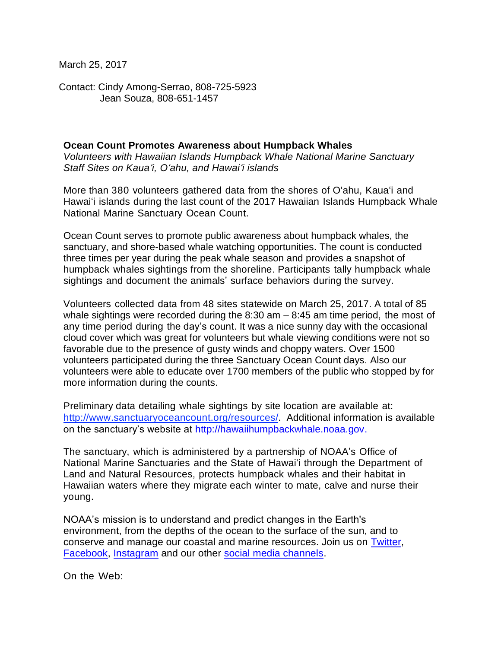March 25, 2017

Contact: Cindy Among-Serrao, 808-725-5923 Jean Souza, 808-651-1457

## **Ocean Count Promotes Awareness about Humpback Whales**

*Volunteers with Hawaiian Islands Humpback Whale National Marine Sanctuary Staff Sites on Kaua'i, O'ahu, and Hawai'i islands*

More than 380 volunteers gathered data from the shores of O'ahu, Kaua'i and Hawai'i islands during the last count of the 2017 Hawaiian Islands Humpback Whale National Marine Sanctuary Ocean Count.

Ocean Count serves to promote public awareness about humpback whales, the sanctuary, and shore-based whale watching opportunities. The count is conducted three times per year during the peak whale season and provides a snapshot of humpback whales sightings from the shoreline. Participants tally humpback whale sightings and document the animals' surface behaviors during the survey.

Volunteers collected data from 48 sites statewide on March 25, 2017. A total of 85 whale sightings were recorded during the  $8:30$  am  $-8:45$  am time period, the most of any time period during the day's count. It was a nice sunny day with the occasional cloud cover which was great for volunteers but whale viewing conditions were not so favorable due to the presence of gusty winds and choppy waters. Over 1500 volunteers participated during the three Sanctuary Ocean Count days. Also our volunteers were able to educate over 1700 members of the public who stopped by for more information during the counts.

Preliminary data detailing whale sightings by site location are available at: [http://www.sanctuaryoceancount.org/resources/.](http://www.sanctuaryoceancount.org/resources/) Additional information is available on the sanctuary's website at [http://hawaiihumpbackwhale.noaa.gov.](http://hawaiihumpbackwhale.noaa.gov/)

The sanctuary, which is administered by a partnership of NOAA's Office of National Marine Sanctuaries and the State of Hawai'i through the Department of Land and Natural Resources, protects humpback whales and their habitat in Hawaiian waters where they migrate each winter to mate, calve and nurse their young.

NOAA's mission is to understand and predict changes in the Earth's environment, from the depths of the ocean to the surface of the sun, and to conserve and manage our coastal and marine resources. Join us on [Twitter,](http://www.noaanews.noaa.gov/exit.html?https%3A%2F%2Ftwitter.com%2FNOAA) [Facebook,](http://www.noaanews.noaa.gov/exit.html?https%3A%2F%2Fwww.facebook.com%2FNOAA) [Instagram](http://www.noaanews.noaa.gov/exit.html?http%3A%2F%2Finstagram.com%2Fnoaa%3Fref%3Dbadge) and our other [social media channels.](http://www.noaa.gov/socialmedia/)

On the Web: